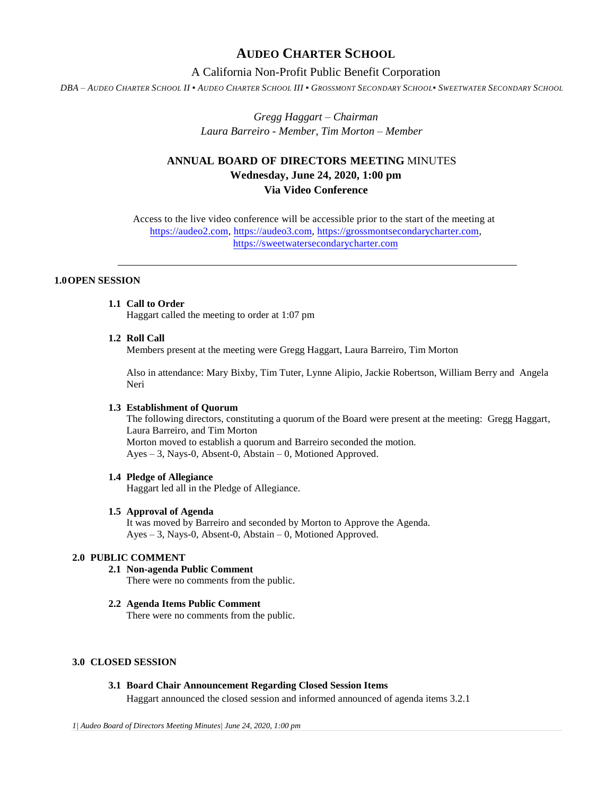# **AUDEO CHARTER SCHOOL**

## A California Non-Profit Public Benefit Corporation

DBA - AUDEO CHARTER SCHOOL II . AUDEO CHARTER SCHOOL III . GROSSMONT SECONDARY SCHOOL. SWEETWATER SECONDARY SCHOOL

*Gregg Haggart – Chairman Laura Barreiro - Member, Tim Morton – Member*

# **ANNUAL BOARD OF DIRECTORS MEETING** MINUTES **Wednesday, June 24, 2020, 1:00 pm Via Video Conference**

Access to the live video conference will be accessible prior to the start of the meeting at [https://audeo2.com,](https://audeo2.com/) [https://audeo3.com,](https://audeo3.com/) [https://grossmontsecondarycharter.com,](https://grossmontsecondarycharter.com/)  [https://sweetwatersecondarycharter.com](https://sweetwatersecondarycharter.com/)

### **1.0OPEN SESSION**

### **1.1 Call to Order**

Haggart called the meeting to order at 1:07 pm

#### **1.2 Roll Call**

Members present at the meeting were Gregg Haggart, Laura Barreiro, Tim Morton

Also in attendance: Mary Bixby, Tim Tuter, Lynne Alipio, Jackie Robertson, William Berry and Angela Neri

#### **1.3 Establishment of Quorum**

The following directors, constituting a quorum of the Board were present at the meeting: Gregg Haggart, Laura Barreiro, and Tim Morton Morton moved to establish a quorum and Barreiro seconded the motion. Ayes – 3, Nays-0, Absent-0, Abstain – 0, Motioned Approved.

### **1.4 Pledge of Allegiance**

Haggart led all in the Pledge of Allegiance.

#### **1.5 Approval of Agenda**

It was moved by Barreiro and seconded by Morton to Approve the Agenda. Ayes – 3, Nays-0, Absent-0, Abstain – 0, Motioned Approved.

## **2.0 PUBLIC COMMENT**

## **2.1 Non-agenda Public Comment**

There were no comments from the public.

### **2.2 Agenda Items Public Comment**

There were no comments from the public.

## **3.0 CLOSED SESSION**

## **3.1 Board Chair Announcement Regarding Closed Session Items**

Haggart announced the closed session and informed announced of agenda items 3.2.1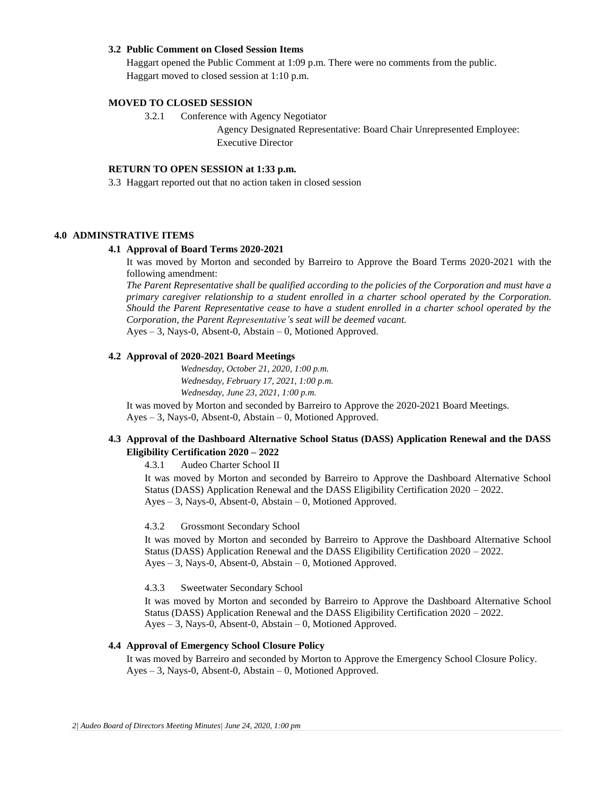#### **3.2 Public Comment on Closed Session Items**

Haggart opened the Public Comment at 1:09 p.m. There were no comments from the public. Haggart moved to closed session at 1:10 p.m.

#### **MOVED TO CLOSED SESSION**

3.2.1 Conference with Agency Negotiator

Agency Designated Representative: Board Chair Unrepresented Employee: Executive Director

### **RETURN TO OPEN SESSION at 1:33 p.m.**

3.3 Haggart reported out that no action taken in closed session

#### **4.0 ADMINSTRATIVE ITEMS**

#### **4.1 Approval of Board Terms 2020-2021**

It was moved by Morton and seconded by Barreiro to Approve the Board Terms 2020-2021 with the following amendment:

*The Parent Representative shall be qualified according to the policies of the Corporation and must have a primary caregiver relationship to a student enrolled in a charter school operated by the Corporation. Should the Parent Representative cease to have a student enrolled in a charter school operated by the Corporation, the Parent Representative's seat will be deemed vacant.* Ayes – 3, Nays-0, Absent-0, Abstain – 0, Motioned Approved.

#### **4.2 Approval of 2020-2021 Board Meetings**

*Wednesday, October 21, 2020, 1:00 p.m. Wednesday, February 17, 2021, 1:00 p.m. Wednesday, June 23, 2021, 1:00 p.m.*

It was moved by Morton and seconded by Barreiro to Approve the 2020-2021 Board Meetings. Ayes – 3, Nays-0, Absent-0, Abstain – 0, Motioned Approved.

## **4.3 Approval of the Dashboard Alternative School Status (DASS) Application Renewal and the DASS Eligibility Certification 2020 – 2022**

4.3.1 Audeo Charter School II

It was moved by Morton and seconded by Barreiro to Approve the Dashboard Alternative School Status (DASS) Application Renewal and the DASS Eligibility Certification 2020 – 2022. Ayes – 3, Nays-0, Absent-0, Abstain – 0, Motioned Approved.

#### 4.3.2 Grossmont Secondary School

It was moved by Morton and seconded by Barreiro to Approve the Dashboard Alternative School Status (DASS) Application Renewal and the DASS Eligibility Certification 2020 – 2022. Ayes – 3, Nays-0, Absent-0, Abstain – 0, Motioned Approved.

4.3.3 Sweetwater Secondary School

It was moved by Morton and seconded by Barreiro to Approve the Dashboard Alternative School Status (DASS) Application Renewal and the DASS Eligibility Certification 2020 – 2022. Ayes – 3, Nays-0, Absent-0, Abstain – 0, Motioned Approved.

### **4.4 Approval of Emergency School Closure Policy**

It was moved by Barreiro and seconded by Morton to Approve the Emergency School Closure Policy. Ayes – 3, Nays-0, Absent-0, Abstain – 0, Motioned Approved.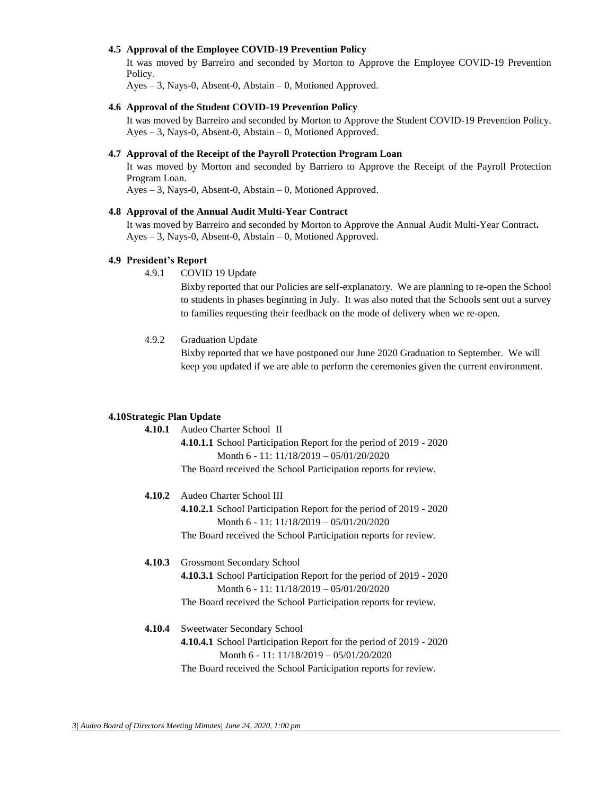### **4.5 Approval of the Employee COVID-19 Prevention Policy**

It was moved by Barreiro and seconded by Morton to Approve the Employee COVID-19 Prevention Policy.

Ayes – 3, Nays-0, Absent-0, Abstain – 0, Motioned Approved.

#### **4.6 Approval of the Student COVID-19 Prevention Policy**

It was moved by Barreiro and seconded by Morton to Approve the Student COVID-19 Prevention Policy. Ayes – 3, Nays-0, Absent-0, Abstain – 0, Motioned Approved.

## **4.7 Approval of the Receipt of the Payroll Protection Program Loan**

It was moved by Morton and seconded by Barriero to Approve the Receipt of the Payroll Protection Program Loan.

Ayes – 3, Nays-0, Absent-0, Abstain – 0, Motioned Approved.

#### **4.8 Approval of the Annual Audit Multi-Year Contract**

It was moved by Barreiro and seconded by Morton to Approve the Annual Audit Multi-Year Contract**.** Ayes – 3, Nays-0, Absent-0, Abstain – 0, Motioned Approved.

### **4.9 President's Report**

4.9.1 COVID 19 Update

Bixby reported that our Policies are self-explanatory. We are planning to re-open the School to students in phases beginning in July. It was also noted that the Schools sent out a survey to families requesting their feedback on the mode of delivery when we re-open.

### 4.9.2 Graduation Update

Bixby reported that we have postponed our June 2020 Graduation to September. We will keep you updated if we are able to perform the ceremonies given the current environment.

#### **4.10Strategic Plan Update**

| 4.10.1 | Audeo Charter School II                                                                                          |
|--------|------------------------------------------------------------------------------------------------------------------|
|        | 4.10.1.1 School Participation Report for the period of 2019 - 2020                                               |
|        | Month 6 - 11: $11/18/2019 - 05/01/20/2020$                                                                       |
|        | The Board received the School Participation reports for review.                                                  |
| 4.10.2 | Audeo Charter School III                                                                                         |
|        | 4.10.2.1 School Participation Report for the period of 2019 - 2020                                               |
|        | Month 6 - 11: $11/18/2019 - 05/01/20/2020$                                                                       |
|        | The Board received the School Participation reports for review.                                                  |
| 4.10.3 | <b>Grossmont Secondary School</b>                                                                                |
|        | <b>4.10.3.1</b> School Participation Report for the period of 2019 - 2020                                        |
|        | Month 6 - 11: $11/18/2019 - 05/01/20/2020$                                                                       |
|        | The Board received the School Participation reports for review.                                                  |
| 4.10.4 | <b>Sweetwater Secondary School</b>                                                                               |
|        | 4.10.4.1 School Participation Report for the period of 2019 - 2020<br>Month 6 - 11: $11/18/2019 - 05/01/20/2020$ |
|        |                                                                                                                  |
|        | The Board received the School Participation reports for review.                                                  |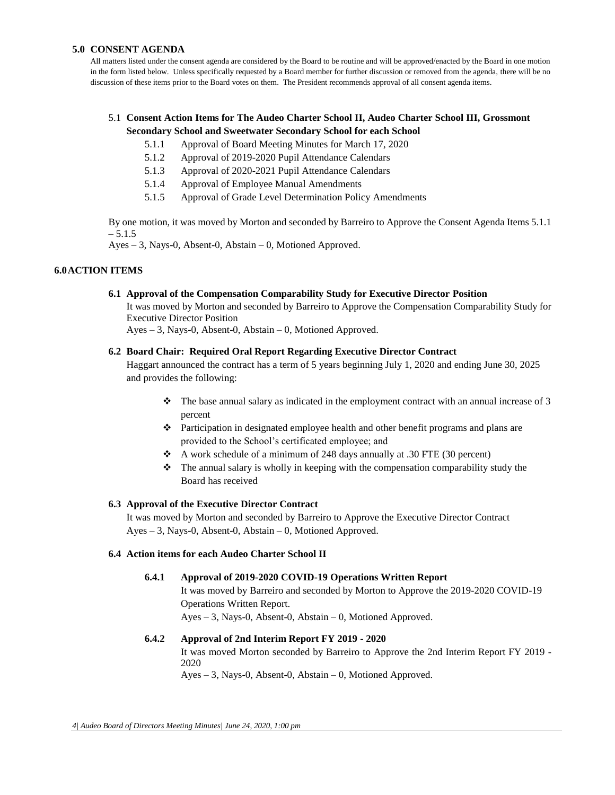### **5.0 CONSENT AGENDA**

All matters listed under the consent agenda are considered by the Board to be routine and will be approved/enacted by the Board in one motion in the form listed below. Unless specifically requested by a Board member for further discussion or removed from the agenda, there will be no discussion of these items prior to the Board votes on them. The President recommends approval of all consent agenda items.

## 5.1 **Consent Action Items for The Audeo Charter School II, Audeo Charter School III, Grossmont Secondary School and Sweetwater Secondary School for each School**

- 5.1.1 Approval of Board Meeting Minutes for March 17, 2020
- 5.1.2 Approval of 2019-2020 Pupil Attendance Calendars
- 5.1.3 Approval of 2020-2021 Pupil Attendance Calendars
- 5.1.4 Approval of Employee Manual Amendments
- 5.1.5 Approval of Grade Level Determination Policy Amendments

By one motion, it was moved by Morton and seconded by Barreiro to Approve the Consent Agenda Items 5.1.1 – 5.1.5

Ayes – 3, Nays-0, Absent-0, Abstain – 0, Motioned Approved.

## **6.0ACTION ITEMS**

### **6.1 Approval of the Compensation Comparability Study for Executive Director Position**

It was moved by Morton and seconded by Barreiro to Approve the Compensation Comparability Study for Executive Director Position

Ayes – 3, Nays-0, Absent-0, Abstain – 0, Motioned Approved.

### **6.2 Board Chair: Required Oral Report Regarding Executive Director Contract**

Haggart announced the contract has a term of 5 years beginning July 1, 2020 and ending June 30, 2025 and provides the following:

- $\div$  The base annual salary as indicated in the employment contract with an annual increase of 3 percent
- Participation in designated employee health and other benefit programs and plans are provided to the School's certificated employee; and
- A work schedule of a minimum of 248 days annually at .30 FTE (30 percent)
- The annual salary is wholly in keeping with the compensation comparability study the Board has received

### **6.3 Approval of the Executive Director Contract**

It was moved by Morton and seconded by Barreiro to Approve the Executive Director Contract Ayes – 3, Nays-0, Absent-0, Abstain – 0, Motioned Approved.

### **6.4 Action items for each Audeo Charter School II**

### **6.4.1 Approval of 2019-2020 COVID-19 Operations Written Report**

It was moved by Barreiro and seconded by Morton to Approve the 2019-2020 COVID-19 Operations Written Report.

Ayes – 3, Nays-0, Absent-0, Abstain – 0, Motioned Approved.

### **6.4.2 Approval of 2nd Interim Report FY 2019 - 2020**

It was moved Morton seconded by Barreiro to Approve the 2nd Interim Report FY 2019 - 2020

Ayes – 3, Nays-0, Absent-0, Abstain – 0, Motioned Approved.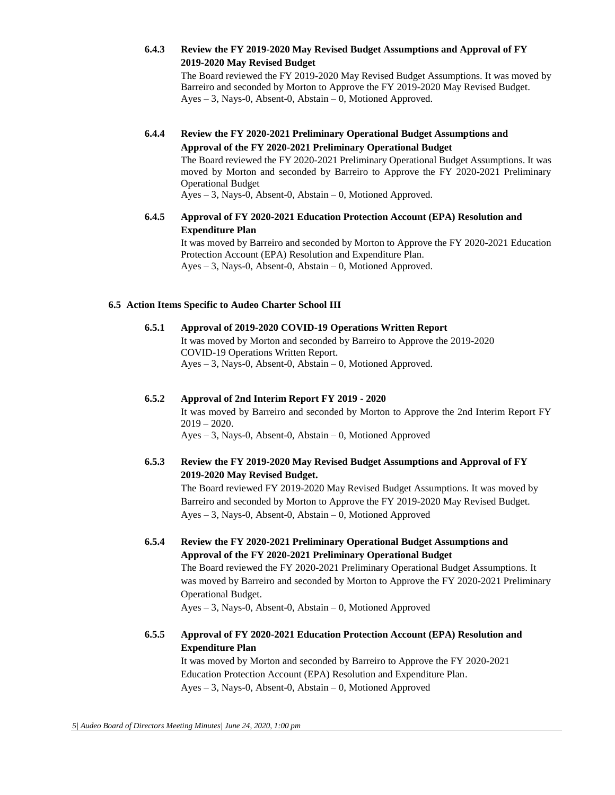**6.4.3 Review the FY 2019-2020 May Revised Budget Assumptions and Approval of FY 2019-2020 May Revised Budget** 

The Board reviewed the FY 2019-2020 May Revised Budget Assumptions. It was moved by Barreiro and seconded by Morton to Approve the FY 2019-2020 May Revised Budget. Ayes – 3, Nays-0, Absent-0, Abstain – 0, Motioned Approved.

- **6.4.4 Review the FY 2020-2021 Preliminary Operational Budget Assumptions and Approval of the FY 2020-2021 Preliminary Operational Budget**  The Board reviewed the FY 2020-2021 Preliminary Operational Budget Assumptions. It was moved by Morton and seconded by Barreiro to Approve the FY 2020-2021 Preliminary Operational Budget Ayes – 3, Nays-0, Absent-0, Abstain – 0, Motioned Approved.
- **6.4.5 Approval of FY 2020-2021 Education Protection Account (EPA) Resolution and Expenditure Plan**

It was moved by Barreiro and seconded by Morton to Approve the FY 2020-2021 Education Protection Account (EPA) Resolution and Expenditure Plan. Ayes – 3, Nays-0, Absent-0, Abstain – 0, Motioned Approved.

### **6.5 Action Items Specific to Audeo Charter School III**

- **6.5.1 Approval of 2019-2020 COVID-19 Operations Written Report**  It was moved by Morton and seconded by Barreiro to Approve the 2019-2020 COVID-19 Operations Written Report. Ayes – 3, Nays-0, Absent-0, Abstain – 0, Motioned Approved.
- **6.5.2 Approval of 2nd Interim Report FY 2019 - 2020**  It was moved by Barreiro and seconded by Morton to Approve the 2nd Interim Report FY  $2019 - 2020.$ Ayes – 3, Nays-0, Absent-0, Abstain – 0, Motioned Approved
- **6.5.3 Review the FY 2019-2020 May Revised Budget Assumptions and Approval of FY 2019-2020 May Revised Budget.** The Board reviewed FY 2019-2020 May Revised Budget Assumptions. It was moved by Barreiro and seconded by Morton to Approve the FY 2019-2020 May Revised Budget. Ayes – 3, Nays-0, Absent-0, Abstain – 0, Motioned Approved
- **6.5.4 Review the FY 2020-2021 Preliminary Operational Budget Assumptions and Approval of the FY 2020-2021 Preliminary Operational Budget**  The Board reviewed the FY 2020-2021 Preliminary Operational Budget Assumptions. It was moved by Barreiro and seconded by Morton to Approve the FY 2020-2021 Preliminary Operational Budget. Ayes – 3, Nays-0, Absent-0, Abstain – 0, Motioned Approved
- **6.5.5 Approval of FY 2020-2021 Education Protection Account (EPA) Resolution and Expenditure Plan**

It was moved by Morton and seconded by Barreiro to Approve the FY 2020-2021 Education Protection Account (EPA) Resolution and Expenditure Plan. Ayes – 3, Nays-0, Absent-0, Abstain – 0, Motioned Approved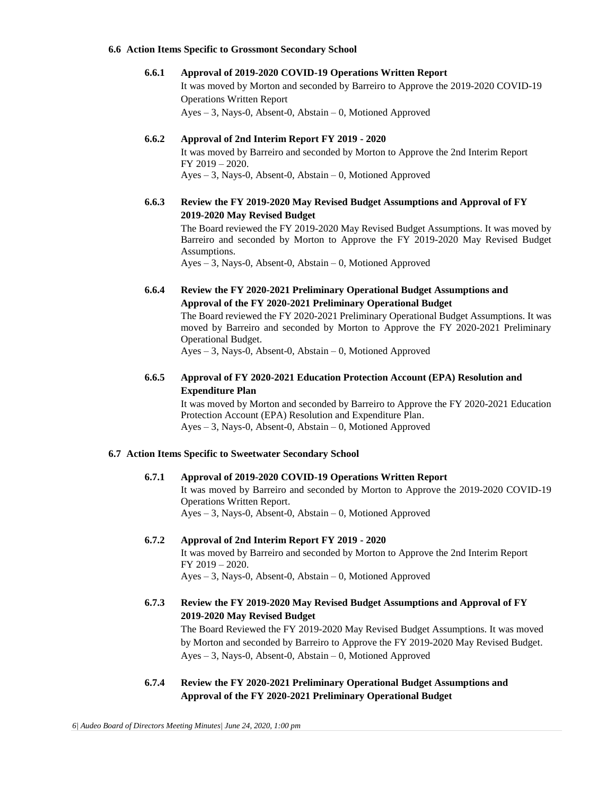#### **6.6 Action Items Specific to Grossmont Secondary School**

#### **6.6.1 Approval of 2019-2020 COVID-19 Operations Written Report**

It was moved by Morton and seconded by Barreiro to Approve the 2019-2020 COVID-19 Operations Written Report

Ayes – 3, Nays-0, Absent-0, Abstain – 0, Motioned Approved

### **6.6.2 Approval of 2nd Interim Report FY 2019 - 2020**

It was moved by Barreiro and seconded by Morton to Approve the 2nd Interim Report FY 2019 – 2020. Ayes – 3, Nays-0, Absent-0, Abstain – 0, Motioned Approved

### **6.6.3 Review the FY 2019-2020 May Revised Budget Assumptions and Approval of FY 2019-2020 May Revised Budget**

The Board reviewed the FY 2019-2020 May Revised Budget Assumptions. It was moved by Barreiro and seconded by Morton to Approve the FY 2019-2020 May Revised Budget Assumptions.

Ayes – 3, Nays-0, Absent-0, Abstain – 0, Motioned Approved

## **6.6.4 Review the FY 2020-2021 Preliminary Operational Budget Assumptions and Approval of the FY 2020-2021 Preliminary Operational Budget**

The Board reviewed the FY 2020-2021 Preliminary Operational Budget Assumptions. It was moved by Barreiro and seconded by Morton to Approve the FY 2020-2021 Preliminary Operational Budget.

Ayes – 3, Nays-0, Absent-0, Abstain – 0, Motioned Approved

## **6.6.5 Approval of FY 2020-2021 Education Protection Account (EPA) Resolution and Expenditure Plan**

It was moved by Morton and seconded by Barreiro to Approve the FY 2020-2021 Education Protection Account (EPA) Resolution and Expenditure Plan. Ayes – 3, Nays-0, Absent-0, Abstain – 0, Motioned Approved

### **6.7 Action Items Specific to Sweetwater Secondary School**

### **6.7.1 Approval of 2019-2020 COVID-19 Operations Written Report**

It was moved by Barreiro and seconded by Morton to Approve the 2019-2020 COVID-19 Operations Written Report. Ayes – 3, Nays-0, Absent-0, Abstain – 0, Motioned Approved

### **6.7.2 Approval of 2nd Interim Report FY 2019 - 2020**

It was moved by Barreiro and seconded by Morton to Approve the 2nd Interim Report FY 2019 – 2020. Ayes – 3, Nays-0, Absent-0, Abstain – 0, Motioned Approved

# **6.7.3 Review the FY 2019-2020 May Revised Budget Assumptions and Approval of FY 2019-2020 May Revised Budget**

The Board Reviewed the FY 2019-2020 May Revised Budget Assumptions. It was moved by Morton and seconded by Barreiro to Approve the FY 2019-2020 May Revised Budget. Ayes – 3, Nays-0, Absent-0, Abstain – 0, Motioned Approved

## **6.7.4 Review the FY 2020-2021 Preliminary Operational Budget Assumptions and Approval of the FY 2020-2021 Preliminary Operational Budget**